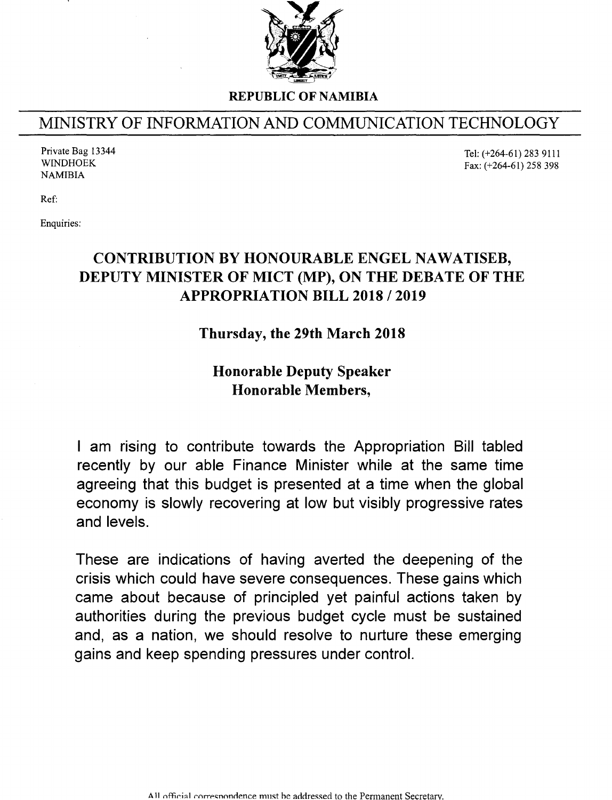

REPUBLIC OF NAMIBIA

## MINISTRY OF INFORMATION AND COMMUNICATION TECHNOLOGY

Private Bag 13344 WINDHOEK NAMIBIA

Tel: (+264-61) 283 9111 Fax: (+264-61) 258 398

Ref:

Enquiries:

## CONTRIBUTION BY HONOURABLE ENGEL NAWATISEB, DEPUTY MINISTER OF MICT (MP), ON THE DEBATE OF THE APPROPRIATION BILL 2018 / 2019

## Thursday, the 29th March 2018

## Honorable Deputy Speaker Honorable Members,

I am rising to contribute towards the Appropriation Bill tabled recently by our able Finance Minister while at the same time agreeing that this budget is presented at a time when the global economy is slowly recovering at low but visibly progressive rates and levels.

These are indications of having averted the deepening of the crisis which could have severe consequences. These gains which came about because of principled yet painful actions taken by authorities during the previous budget cycle must be sustained and, as a nation, we should resolve to nurture these emerging gains and keep spending pressures under control.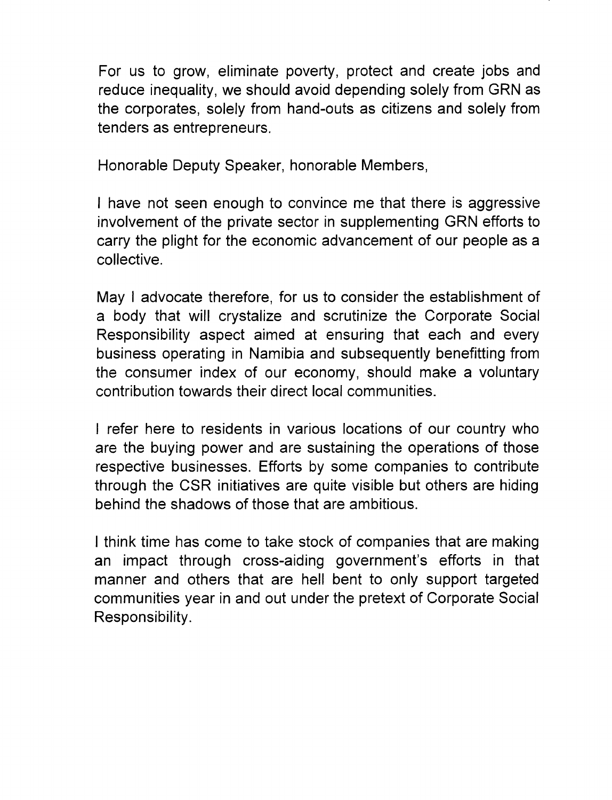For us to grow, eliminate poverty, protect and create jobs and reduce inequality, we should avoid depending solely from GRN as the corporates, solely from hand-outs as citizens and solely from tenders as entrepreneurs.

Honorable Deputy Speaker, honorable Members,

I have not seen enough to convince me that there is aggressive involvement of the private sector in supplementing GRN efforts to carry the plight for the economic advancement of our people as a collective.

May I advocate therefore, for us to consider the establishment of a body that will crystalize and scrutinize the Corporate Social Responsibility aspect aimed at ensuring that each and every business operating in Namibia and subsequently benefitting from the consumer index of our economy, should make a voluntary contribution towards their direct local communities.

I refer here to residents in various locations of our country who are the buying power and are sustaining the operations of those respective businesses. Efforts by some companies to contribute through the CSR initiatives are quite visible but others are hiding behind the shadows of those that are ambitious.

I think time has come to take stock of companies that are making an impact through cross-aiding government's efforts in that manner and others that are hell bent to only support targeted communities year in and out under the pretext of Corporate Social Responsibility.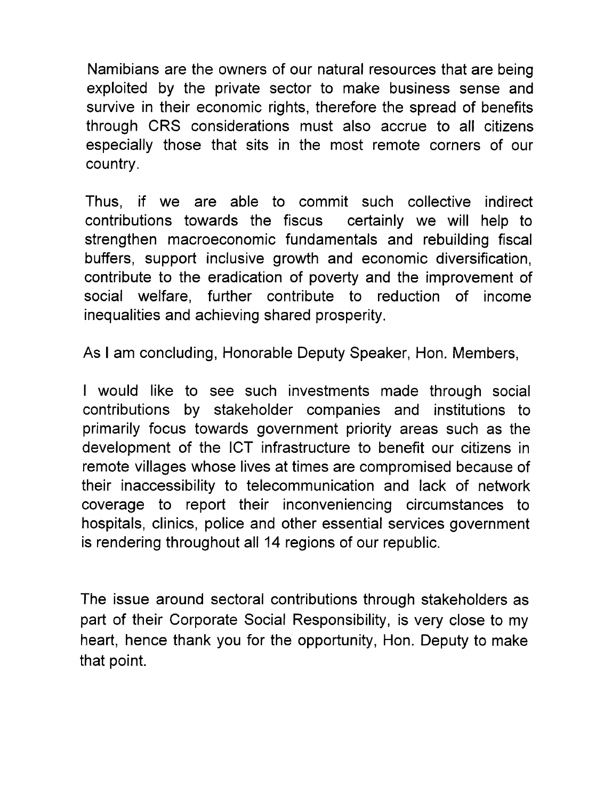Namibians are the owners of our natural resources that are being exploited by the private sector to make business sense and survive in their economic rights, therefore the spread of benefits through CRS considerations must also accrue to all citizens especially those that sits in the most remote corners of our country.

Thus, if we are able to commit such collective indirect contributions towards the fiscus certainly we will help to strengthen macroeconomic fundamentals and rebuilding fiscal buffers, support inclusive growth and economic diversification, contribute to the eradication of poverty and the improvement of social welfare, further contribute to reduction of income inequalities and achieving shared prosperity.

As I am concluding, Honorable Deputy Speaker, Hon. Members,

I would like to see such investments made through social contributions by stakeholder companies and institutions to primarily focus towards government priority areas such as the development of the ICT infrastructure to benefit our citizens in remote villages whose lives at times are compromised because of their inaccessibility to telecommunication and lack of network coverage to report their inconveniencing circumstances to hospitals, clinics, police and other essential services government is rendering throughout all 14 regions of our republic.

The issue around sectoral contributions through stakeholders as part of their Corporate Social Responsibility, is very close to my heart, hence thank you for the opportunity, Hon. Deputy to make that point.